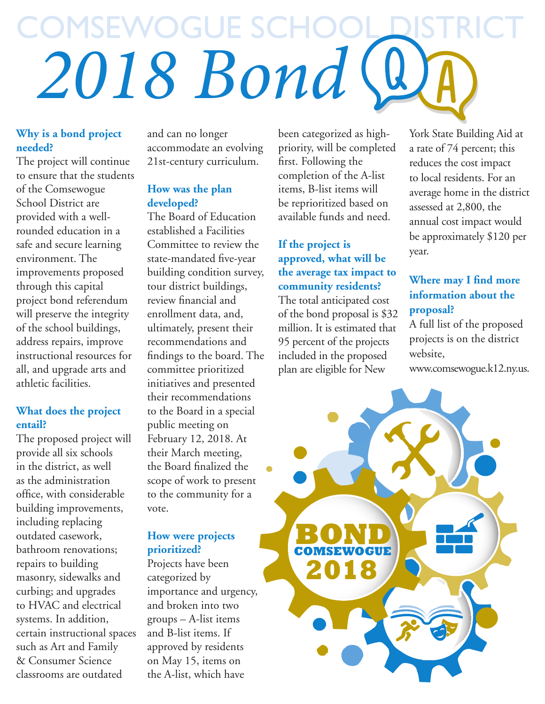## COMSEWOGUE S *2018 Bond*

#### **Why is a bond project needed?**

The project will continue to ensure that the students of the Comsewogue School District are provided with a wellrounded education in a safe and secure learning environment. The improvements proposed through this capital project bond referendum will preserve the integrity of the school buildings, address repairs, improve instructional resources for all, and upgrade arts and athletic facilities.

#### **What does the project entail?**

The proposed project will provide all six schools in the district, as well as the administration office, with considerable building improvements, including replacing outdated casework, bathroom renovations; repairs to building masonry, sidewalks and curbing; and upgrades to HVAC and electrical systems. In addition, certain instructional spaces such as Art and Family & Consumer Science classrooms are outdated

and can no longer accommodate an evolving 21st-century curriculum.

#### **How was the plan developed?**

The Board of Education established a Facilities Committee to review the state-mandated five-year building condition survey, tour district buildings, review financial and enrollment data, and, ultimately, present their recommendations and findings to the board. The committee prioritized initiatives and presented their recommendations to the Board in a special public meeting on February 12, 2018. At their March meeting, the Board finalized the scope of work to present to the community for a vote.

#### **How were projects prioritized?**

Projects have been categorized by importance and urgency, and broken into two groups – A-list items and B-list items. If approved by residents on May 15, items on the A-list, which have

been categorized as highpriority, will be completed first. Following the completion of the A-list items, B-list items will be reprioritized based on available funds and need.

**If the project is approved, what will be the average tax impact to community residents?**  The total anticipated cost of the bond proposal is \$32 million. It is estimated that 95 percent of the projects included in the proposed plan are eligible for New

York State Building Aid at a rate of 74 percent; this reduces the cost impact to local residents. For an average home in the district assessed at 2,800, the annual cost impact would be approximately \$120 per year.

#### **Where may I find more information about the proposal?**

A full list of the proposed projects is on the district website,

www.comsewogue.k12.ny.us.